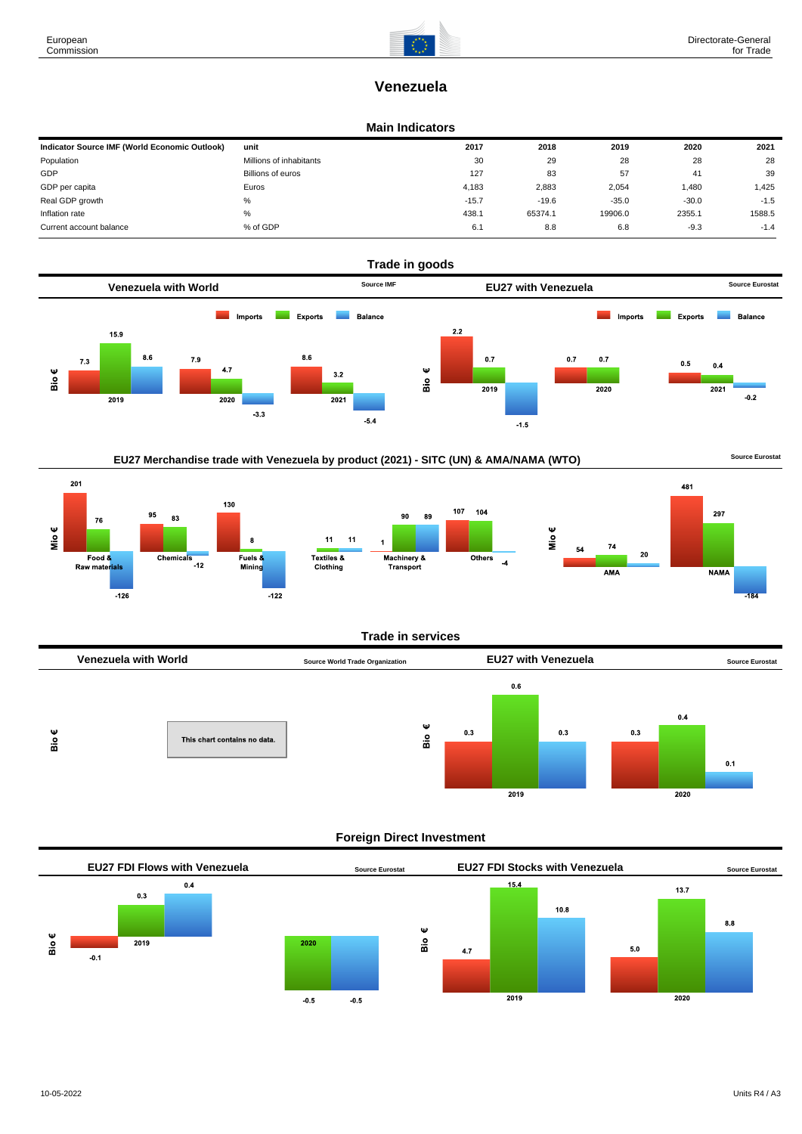

# **Venezuela**

#### **Main Indicators**

| Indicator Source IMF (World Economic Outlook) | unit                    | 2017    | 2018    | 2019    | 2020    | 2021   |
|-----------------------------------------------|-------------------------|---------|---------|---------|---------|--------|
| Population                                    | Millions of inhabitants | 30      | 29      | 28      | 28      | 28     |
| GDP                                           | Billions of euros       | 127     | 83      | 57      | 41      | 39     |
| GDP per capita                                | Euros                   | 4,183   | 2,883   | 2,054   | 1.480   | 1,425  |
| Real GDP growth                               | %                       | $-15.7$ | $-19.6$ | $-35.0$ | $-30.0$ | $-1.5$ |
| Inflation rate                                | %                       | 438.1   | 65374.1 | 19906.0 | 2355.1  | 1588.5 |
| Current account balance                       | % of GDP                | 6.1     | 8.8     | 6.8     | $-9.3$  | $-1.4$ |



# EU27 Merchandise trade with Venezuela by product (2021) - SITC (UN) & AMA/NAMA (WTO) **Source Eurostat**







#### **Trade in services**



## **Foreign Direct Investment**